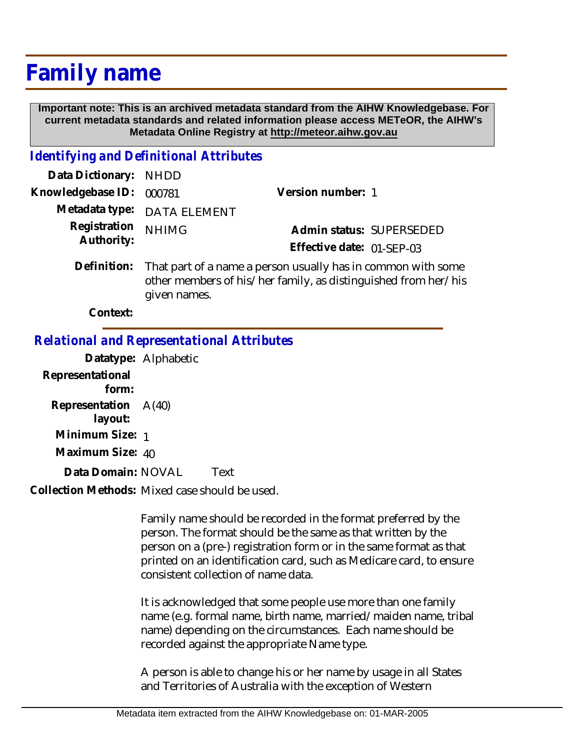# **Family name**

 **Important note: This is an archived metadata standard from the AIHW Knowledgebase. For current metadata standards and related information please access METeOR, the AIHW's Metadata Online Registry at http://meteor.aihw.gov.au**

# *Identifying and Definitional Attributes*

| Data Dictionary: NHDD      |                                                                                                                                            |                           |                          |
|----------------------------|--------------------------------------------------------------------------------------------------------------------------------------------|---------------------------|--------------------------|
| Knowledgebase ID: 000781   |                                                                                                                                            | Version number: 1         |                          |
|                            | Metadata type: DATA ELEMENT                                                                                                                |                           |                          |
| Registration<br>Authority: | <b>NHIMG</b>                                                                                                                               |                           | Admin status: SUPERSEDED |
|                            |                                                                                                                                            | Effective date: 01-SEP-03 |                          |
|                            | Definition: That part of a name a person usually has in common with some<br>other members of his/her family, as distinguished from her/his |                           |                          |

given names.

**Context:**

# *Relational and Representational Attributes*

**Datatype:** Alphabetic **Representational form: Representation** A(40)  **layout: Minimum Size:** 1 **Maximum Size:** 40 Data Domain: NOVAL Text

Collection Methods: Mixed case should be used.

Family name should be recorded in the format preferred by the person. The format should be the same as that written by the person on a (pre-) registration form or in the same format as that printed on an identification card, such as Medicare card, to ensure consistent collection of name data.

It is acknowledged that some people use more than one family name (e.g. formal name, birth name, married/maiden name, tribal name) depending on the circumstances. Each name should be recorded against the appropriate Name type.

A person is able to change his or her name by usage in all States and Territories of Australia with the exception of Western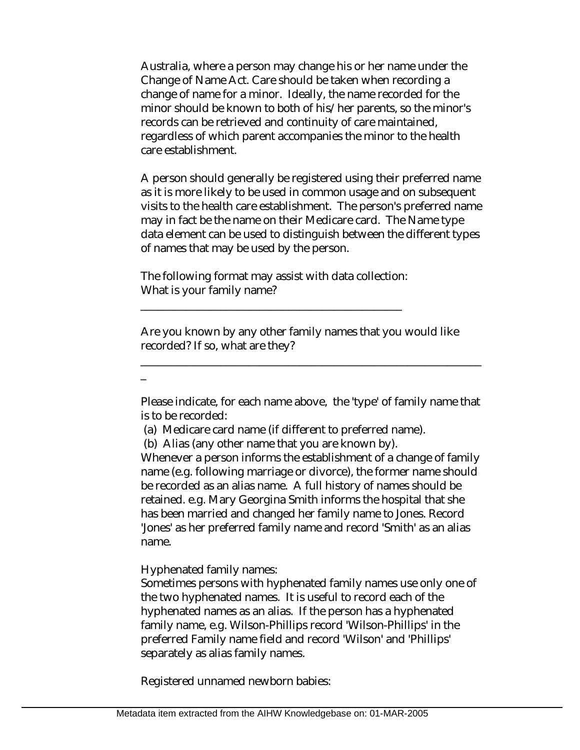Australia, where a person may change his or her name under the Change of Name Act. Care should be taken when recording a change of name for a minor. Ideally, the name recorded for the minor should be known to both of his/her parents, so the minor's records can be retrieved and continuity of care maintained, regardless of which parent accompanies the minor to the health care establishment.

A person should generally be registered using their preferred name as it is more likely to be used in common usage and on subsequent visits to the health care establishment. The person's preferred name may in fact be the name on their Medicare card. The Name type data element can be used to distinguish between the different types of names that may be used by the person.

The following format may assist with data collection: What is your family name?

\_\_\_\_\_\_\_\_\_\_\_\_\_\_\_\_\_\_\_\_\_\_\_\_\_\_\_\_\_\_\_\_\_\_\_\_\_\_\_\_\_\_\_\_\_\_

Are you known by any other family names that you would like recorded? If so, what are they?

\_

Please indicate, for each name above, the 'type' of family name that is to be recorded:

\_\_\_\_\_\_\_\_\_\_\_\_\_\_\_\_\_\_\_\_\_\_\_\_\_\_\_\_\_\_\_\_\_\_\_\_\_\_\_\_\_\_\_\_\_\_\_\_\_\_\_\_\_\_\_\_\_\_\_\_

(a) Medicare card name (if different to preferred name).

(b) Alias (any other name that you are known by).

Whenever a person informs the establishment of a change of family name (e.g. following marriage or divorce), the former name should be recorded as an alias name. A full history of names should be retained. e.g. Mary Georgina Smith informs the hospital that she has been married and changed her family name to Jones. Record 'Jones' as her preferred family name and record 'Smith' as an alias name.

Hyphenated family names:

Sometimes persons with hyphenated family names use only one of the two hyphenated names. It is useful to record each of the hyphenated names as an alias. If the person has a hyphenated family name, e.g. Wilson-Phillips record 'Wilson-Phillips' in the preferred Family name field and record 'Wilson' and 'Phillips' separately as alias family names.

Registered unnamed newborn babies: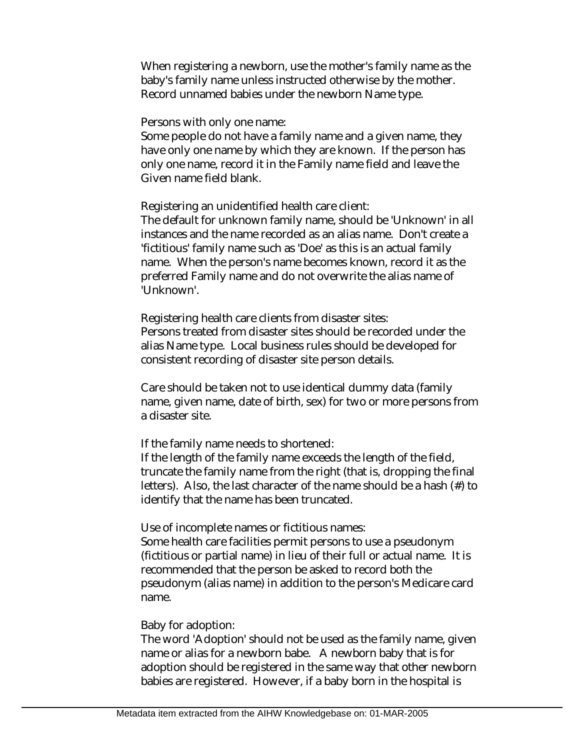When registering a newborn, use the mother's family name as the baby's family name unless instructed otherwise by the mother. Record unnamed babies under the newborn Name type.

Persons with only one name:

Some people do not have a family name and a given name, they have only one name by which they are known. If the person has only one name, record it in the Family name field and leave the Given name field blank.

Registering an unidentified health care client:

The default for unknown family name, should be 'Unknown' in all instances and the name recorded as an alias name. Don't create a 'fictitious' family name such as 'Doe' as this is an actual family name. When the person's name becomes known, record it as the preferred Family name and do not overwrite the alias name of 'Unknown'.

Registering health care clients from disaster sites: Persons treated from disaster sites should be recorded under the alias Name type. Local business rules should be developed for consistent recording of disaster site person details.

Care should be taken not to use identical dummy data (family name, given name, date of birth, sex) for two or more persons from a disaster site.

If the family name needs to shortened:

If the length of the family name exceeds the length of the field, truncate the family name from the right (that is, dropping the final letters). Also, the last character of the name should be a hash (#) to identify that the name has been truncated.

Use of incomplete names or fictitious names:

Some health care facilities permit persons to use a pseudonym (fictitious or partial name) in lieu of their full or actual name. It is recommended that the person be asked to record both the pseudonym (alias name) in addition to the person's Medicare card name.

#### Baby for adoption:

The word 'Adoption' should not be used as the family name, given name or alias for a newborn babe. A newborn baby that is for adoption should be registered in the same way that other newborn babies are registered. However, if a baby born in the hospital is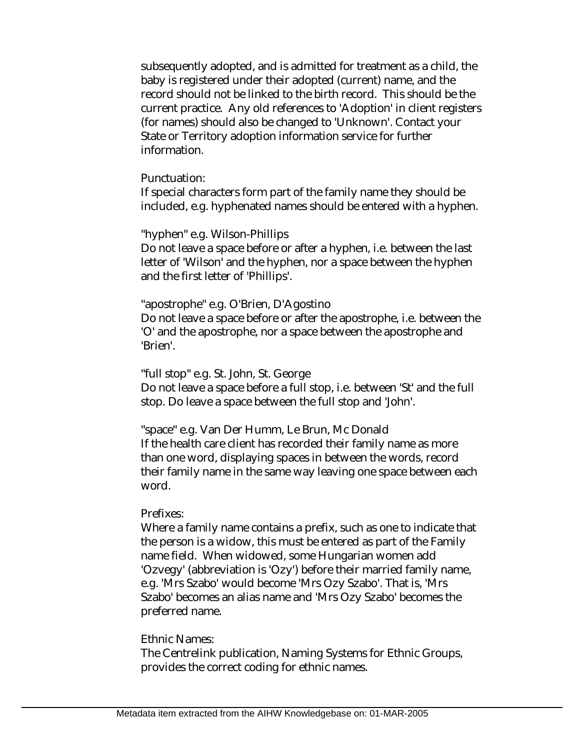subsequently adopted, and is admitted for treatment as a child, the baby is registered under their adopted (current) name, and the record should not be linked to the birth record. This should be the current practice. Any old references to 'Adoption' in client registers (for names) should also be changed to 'Unknown'. Contact your State or Territory adoption information service for further information.

Punctuation:

If special characters form part of the family name they should be included, e.g. hyphenated names should be entered with a hyphen.

"hyphen" e.g. Wilson-Phillips

Do not leave a space before or after a hyphen, i.e. between the last letter of 'Wilson' and the hyphen, nor a space between the hyphen and the first letter of 'Phillips'.

### "apostrophe" e.g. O'Brien, D'Agostino

Do not leave a space before or after the apostrophe, i.e. between the 'O' and the apostrophe, nor a space between the apostrophe and 'Brien'.

"full stop" e.g. St. John, St. George

Do not leave a space before a full stop, i.e. between 'St' and the full stop. Do leave a space between the full stop and 'John'.

"space" e.g. Van Der Humm, Le Brun, Mc Donald If the health care client has recorded their family name as more than one word, displaying spaces in between the words, record their family name in the same way leaving one space between each word.

## Prefixes:

Where a family name contains a prefix, such as one to indicate that the person is a widow, this must be entered as part of the Family name field. When widowed, some Hungarian women add 'Ozvegy' (abbreviation is 'Ozy') before their married family name, e.g. 'Mrs Szabo' would become 'Mrs Ozy Szabo'. That is, 'Mrs Szabo' becomes an alias name and 'Mrs Ozy Szabo' becomes the preferred name.

## Ethnic Names:

The Centrelink publication, Naming Systems for Ethnic Groups, provides the correct coding for ethnic names.